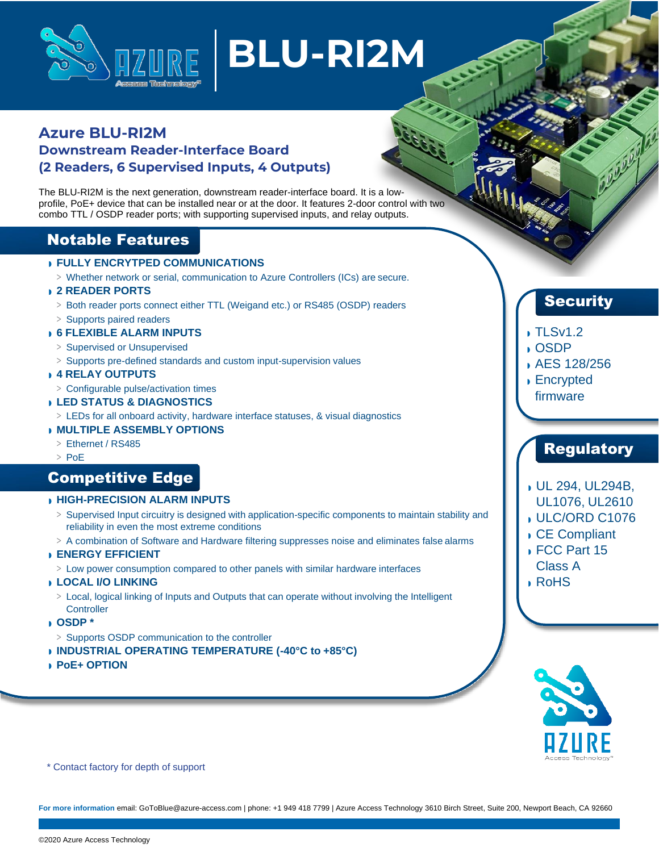

# **BLU-RI2M**

## **Azure BLU-RI2M Downstream Reader-Interface Board (2 Readers, 6 Supervised Inputs, 4 Outputs)**

The BLU-RI2M is the next generation, downstream reader-interface board. It is a lowprofile, PoE+ device that can be installed near or at the door. It features 2-door control with two combo TTL / OSDP reader ports; with supporting supervised inputs, and relay outputs.

## Notable Features

#### ◗ **FULLY ENCRYTPED COMMUNICATIONS**

**>** Whether network or serial, communication to Azure Controllers (ICs) are secure.

#### ◗ **2 READER PORTS**

- **>** Both reader ports connect either TTL (Weigand etc.) or RS485 (OSDP) readers
- **>** Supports paired readers

#### ◗ **6 FLEXIBLE ALARM INPUTS**

- **>** Supervised or Unsupervised
- **>** Supports pre-defined standards and custom input-supervision values

#### ◗ **4 RELAY OUTPUTS**

- **>** Configurable pulse/activation times
- ◗ **LED STATUS & DIAGNOSTICS**
- **>** LEDs for all onboard activity, hardware interface statuses, & visual diagnostics

#### ◗ **MULTIPLE ASSEMBLY OPTIONS**

- **>** Ethernet / RS485
- **>** PoE

## Competitive Edge

#### ◗ **HIGH-PRECISION ALARM INPUTS**

- **>** Supervised Input circuitry is designed with application-specific components to maintain stability and reliability in even the most extreme conditions
- **>** A combination of Software and Hardware filtering suppresses noise and eliminates false alarms

#### ◗ **ENERGY EFFICIENT**

**>** Low power consumption compared to other panels with similar hardware interfaces

#### ◗ **LOCAL I/O LINKING**

**>** Local, logical linking of Inputs and Outputs that can operate without involving the Intelligent **Controller** 

#### ◗ **OSDP \***

- **>** Supports OSDP communication to the controller
- ◗ **INDUSTRIAL OPERATING TEMPERATURE (-40°C to +85°C)**
- ◗ **PoE+ OPTION**

## **Security**

#### ◗ TLSv1.2

#### ◗ OSDP

- ◗ AES 128/256
- ◗ Encrypted firmware

## **Regulatory**

- ◗ UL 294, UL294B,
- UL1076, UL2610
- ◗ ULC/ORD C1076
- ◗ CE Compliant
- ◗ FCC Part 15
- Class A
- ◗ RoHS



\* Contact factory for depth of support